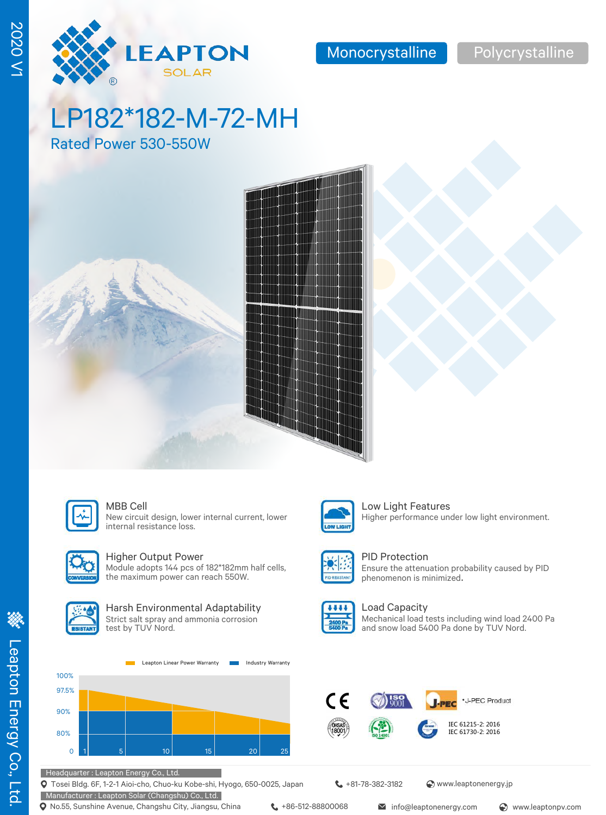# LP182\*182-M-72-MH

LEAPTON **SOLAR** 

Rated Power 530-550W





#### MBB Cell **Low Light Features**

New circuit design, lower internal current, lower internal resistance loss.



### Higher Output Power

Module adopts 144 pcs of 182\*182mm half cells, the maximum power can reach 550W.



#### Harsh Environmental Adaptability Strict salt spray and ammonia corrosion

test by TUV Nord.





Headquarter : Leapton Energy Co., Ltd.

Tosei Bldg. 6F, 1-2-1 Aioi-cho, Chuo-ku Kobe-shi, Hyogo, 650-0025, Japan

Manufacturer : Leapton Solar (Changshu) Co., Ltd.

**t** +81-78-382-3182 <br> **Www.leaptonenergy.jp** 

**Q** No.55, Sunshine Avenue, Changshu City, Jiangsu, China  $\leftarrow$  +86-512-88800068 info@leaptonenergy.com  $\odot$  www.leaptonpv.com

**William** 

#### PID Protection



Higher performance under low light environment.





Load Capacity